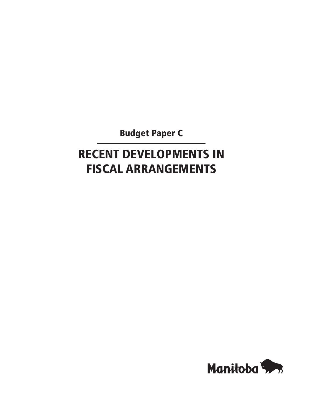Budget Paper C

# Recent Developments in Fiscal Arrangements

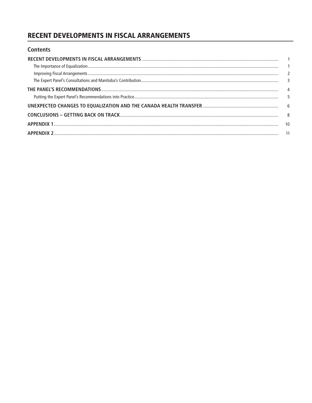# **RECENT DEVELOPMENTS IN FISCAL ARRANGEMENTS**

| <b>Contents</b> |                          |
|-----------------|--------------------------|
|                 |                          |
|                 |                          |
|                 | $\overline{\phantom{0}}$ |
|                 | $\overline{\mathbf{3}}$  |
|                 | 4                        |
|                 |                          |
|                 |                          |
|                 | 8                        |
|                 | 10                       |
|                 | -11                      |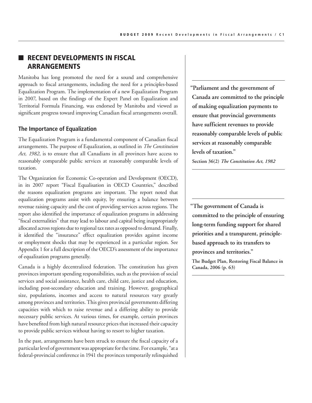## **RECENT DEVELOPMENTS IN FISCAL** Arrangements

Manitoba has long promoted the need for a sound and comprehensive approach to fiscal arrangements, including the need for a principles-based Equalization Program. The implementation of a new Equalization Program in 2007, based on the findings of the Expert Panel on Equalization and Territorial Formula Financing, was endorsed by Manitoba and viewed as significant progress toward improving Canadian fiscal arrangements overall.

#### **The Importance of Equalization**

The Equalization Program is a fundamental component of Canadian fiscal arrangements. The purpose of Equalization, as outlined in *The Constitution Act, 1982*, is to ensure that all Canadians in all provinces have access to reasonably comparable public services at reasonably comparable levels of taxation.

The Organization for Economic Co-operation and Development (OECD), in its 2007 report "Fiscal Equalisation in OECD Countries," described the reasons equalization programs are important. The report noted that equalization programs assist with equity, by ensuring a balance between revenue raising capacity and the cost of providing services across regions. The report also identified the importance of equalization programs in addressing "fiscal externalities" that may lead to labour and capital being inappropriately allocated across regions due to regional tax rates as opposed to demand. Finally, it identified the "insurance" effect equalization provides against income or employment shocks that may be experienced in a particular region. See Appendix 1 for a full description of the OECD's assessment of the importance of equalization programs generally.

Canada is a highly decentralized federation. The constitution has given provinces important spending responsibilities, such as the provision of social services and social assistance, health care, child care, justice and education, including post-secondary education and training. However, geographical size, populations, incomes and access to natural resources vary greatly among provinces and territories. This gives provincial governments differing capacities with which to raise revenue and a differing ability to provide necessary public services. At various times, for example, certain provinces have benefited from high natural resource prices that increased their capacity to provide public services without having to resort to higher taxation.

In the past, arrangements have been struck to ensure the fiscal capacity of a particular level of government was appropriate for the time. For example, "at a federal-provincial conference in 1941 the provinces temporarily relinquished

**"Parliament and the government of Canada are committed to the principle of making equalization payments to ensure that provincial governments have sufficient revenues to provide reasonably comparable levels of public services at reasonably comparable levels of taxation."**

**Section 36(2)** *The Constitution Act, 1982*

**"The government of Canada is committed to the principle of ensuring long-term funding support for shared priorities and a transparent, principlebased approach to its transfers to provinces and territories." The Budget Plan, Restoring Fiscal Balance in Canada, 2006 (p. 63)**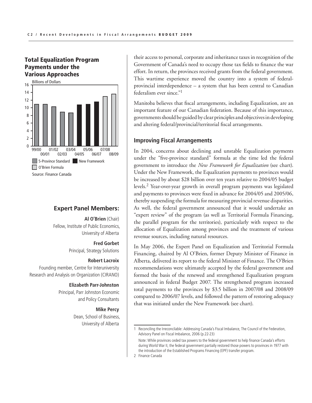## Total Equalization Program Payments under the Various Approaches



#### **Expert Panel Members:**

 $\mathsf F$  is equalization. Fellow, Institute of Public Economics, Revised: 2/ March 18, 2009 **Al O'Brien** (Chair) University of Alberta

> **Fred Gorbet** Principal, Strategy Solutions

#### **Robert Lacroix**

Founding member, Centre for Interuniversity Research and Analysis on Organization (CIRANO)

#### **Elizabeth Parr-Johnston**

Principal, Parr Johnston Economic and Policy Consultants

#### **Mike Percy**

Dean, School of Business, University of Alberta

their access to personal, corporate and inheritance taxes in recognition of the Government of Canada's need to occupy those tax fields to finance the war effort. In return, the provinces received grants from the federal government. This wartime experience moved the country into a system of federalprovincial interdependence – a system that has been central to Canadian federalism ever since."1

Manitoba believes that fiscal arrangements, including Equalization, are an important feature of our Canadian federation. Because of this importance, governments should be guided by clear principles and objectives in developing and altering federal/provincial/territorial fiscal arrangements.

#### **Improving Fiscal Arrangements**

In 2004, concerns about declining and unstable Equalization payments under the "five-province standard" formula at the time led the federal government to introduce the *New Framework for Equalization* (see chart). Under the New Framework, the Equalization payments to provinces would be increased by about \$28 billion over ten years relative to 2004/05 budget levels.2 Year-over-year growth in overall program payments was legislated and payments to provinces were fixed in advance for 2004/05 and 2005/06, thereby suspending the formula for measuring provincial revenue disparities. As well, the federal government announced that it would undertake an "expert review" of the program (as well as Territorial Formula Financing, the parallel program for the territories), particularly with respect to the allocation of Equalization among provinces and the treatment of various revenue sources, including natural resources.

In May 2006, the Expert Panel on Equalization and Territorial Formula Financing, chaired by Al O'Brien, former Deputy Minister of Finance in Alberta, delivered its report to the federal Minister of Finance. The O'Brien recommendations were ultimately accepted by the federal government and formed the basis of the renewed and strengthened Equalization program announced in federal Budget 2007. The strengthened program increased total payments to the provinces by \$3.5 billion in 2007/08 and 2008/09 compared to 2006/07 levels, and followed the pattern of restoring adequacy that was initiated under the New Framework (see chart).

<sup>1</sup> Reconciling the Irreconcilable: Addressing Canada's Fiscal Imbalance, The Council of the Federation, Advisory Panel on Fiscal Imbalance, 2006 (p.22-23)

Note: While provinces ceded tax powers to the federal government to help finance Canada's efforts during World War II, the federal government partially restored those powers to provinces in 1977 with the introduction of the Established Programs Financing (EPF) transfer program.

<sup>2</sup> Finance Canada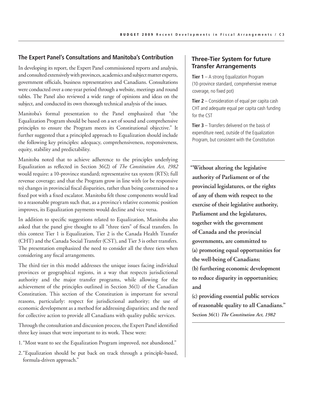#### **The Expert Panel's Consultations and Manitoba's Contribution**

In developing its report, the Expert Panel commissioned reports and analysis, and consulted extensively with provinces, academics and subject matter experts, government officials, business representatives and Canadians. Consultations were conducted over a one-year period through a website, meetings and round tables. The Panel also reviewed a wide range of opinions and ideas on the subject, and conducted its own thorough technical analysis of the issues.

Manitoba's formal presentation to the Panel emphasized that "the Equalization Program should be based on a set of sound and comprehensive principles to ensure the Program meets its Constitutional objective." It further suggested that a principled approach to Equalization should include the following key principles: adequacy, comprehensiveness, responsiveness, equity, stability and predictability.

Manitoba noted that to achieve adherence to the principles underlying Equalization as reflected in Section 36(2) of *The Constitution Act*, *1982* would require: a 10-province standard; representative tax system (RTS); full revenue coverage; and that the Program grow in line with (or be responsive to) changes in provincial fiscal disparities, rather than being constrained to a fixed pot with a fixed escalator. Manitoba felt those components would lead to a reasonable program such that, as a province's relative economic position improves, its Equalization payments would decline and vice versa.

In addition to specific suggestions related to Equalization, Manitoba also asked that the panel give thought to all "three tiers" of fiscal transfers. In this context Tier 1 is Equalization, Tier 2 is the Canada Health Transfer (CHT) and the Canada Social Transfer (CST), and Tier 3 is other transfers. The presentation emphasized the need to consider all the three tiers when considering any fiscal arrangements.

The third tier in this model addresses the unique issues facing individual provinces or geographical regions, in a way that respects jurisdictional authority and the major transfer programs, while allowing for the achievement of the principles outlined in Section 36(1) of the Canadian Constitution. This section of the Constitution is important for several reasons, particularly: respect for jurisdictional authority; the use of economic development as a method for addressing disparities; and the need for collective action to provide all Canadians with quality public services.

Through the consultation and discussion process, the Expert Panel identified three key issues that were important to its work. These were:

- 1. "Most want to see the Equalization Program improved, not abandoned."
- 2."Equalization should be put back on track through a principle-based, formula-driven approach."

## **Three-Tier System for future Transfer Arrangements**

**Tier 1** – A strong Equalization Program (10-province standard, comprehensive revenue coverage, no fixed pot)

**Tier 2** – Consideration of equal per capita cash CHT and adequate equal per capita cash funding for the CST

**Tier 3** – Transfers delivered on the basis of expenditure need, outside of the Equalization Program, but consistent with the Constitution

**"Without altering the legislative authority of Parliament or of the provincial legislatures, or the rights of any of them with respect to the exercise of their legislative authority, Parliament and the legislatures, together with the government of Canada and the provincial governments, are committed to (a) promoting equal opportunities for the well-being of Canadians; (b) furthering economic development to reduce disparity in opportunities; and**

**(c) providing essential public services of reasonable quality to all Canadians." Section 36(1)** *The Constitution Act, 1982*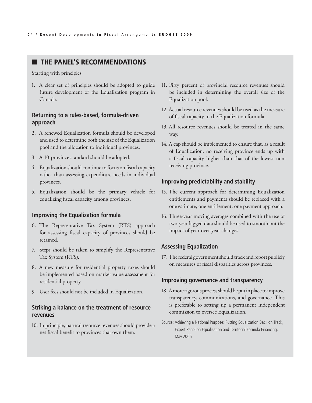## $\blacksquare$  THE PANEL'S RECOMMENDATIONS

Starting with principles

1. A clear set of principles should be adopted to guide future development of the Equalization program in Canada.

## **Returning to a rules-based, formula-driven approach**

- 2. A renewed Equalization formula should be developed and used to determine both the size of the Equalization pool and the allocation to individual provinces.
- 3. A 10-province standard should be adopted.
- 4. Equalization should continue to focus on fiscal capacity rather than assessing expenditure needs in individual provinces.
- 5. Equalization should be the primary vehicle for equalizing fiscal capacity among provinces.

### **Improving the Equalization formula**

- 6. The Representative Tax System (RTS) approach for assessing fiscal capacity of provinces should be retained.
- 7. Steps should be taken to simplify the Representative Tax System (RTS).
- 8. A new measure for residential property taxes should be implemented based on market value assessment for residential property.
- 9. User fees should not be included in Equalization.

## **Striking a balance on the treatment of resource revenues**

10. In principle, natural resource revenues should provide a net fiscal benefit to provinces that own them.

- 11. Fifty percent of provincial resource revenues should be included in determining the overall size of the Equalization pool.
- 12. Actual resource revenues should be used as the measure of fiscal capacity in the Equalization formula.
- 13. All resource revenues should be treated in the same way.
- 14. A cap should be implemented to ensure that, as a result of Equalization, no receiving province ends up with a fiscal capacity higher than that of the lowest nonreceiving province.

#### **Improving predictability and stability**

- 15. The current approach for determining Equalization entitlements and payments should be replaced with a one estimate, one entitlement, one payment approach.
- 16. Three-year moving averages combined with the use of two-year lagged data should be used to smooth out the impact of year-over-year changes.

#### **Assessing Equalization**

17. The federal government should track and report publicly on measures of fiscal disparities across provinces.

#### **Improving governance and transparency**

- 18. A more rigorous process should be put in place to improve transparency, communications, and governance. This is preferable to setting up a permanent independent commission to oversee Equalization.
- Source: Achieving a National Purpose: Putting Equalization Back on Track, Expert Panel on Equalization and Territorial Formula Financing, May 2006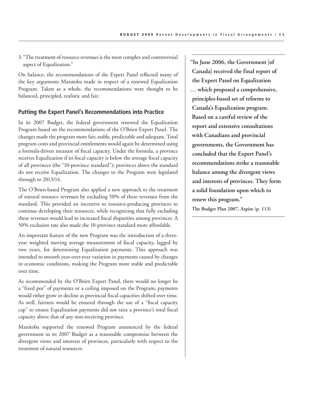3."The treatment of resource revenues is the most complex and controversial aspect of Equalization."

On balance, the recommendations of the Expert Panel reflected many of the key arguments Manitoba made in respect of a renewed Equalization Program. Taken as a whole, the recommendations were thought to be balanced, principled, realistic and fair.

## **Putting the Expert Panel's Recommendations into Practice**

In its 2007 Budget, the federal government renewed the Equalization Program based on the recommendations of the O'Brien Expert Panel. The changes made the program more fair, stable, predictable and adequate. Total program costs and provincial entitlements would again be determined using a formula-driven measure of fiscal capacity. Under the formula, a province receives Equalization if its fiscal capacity is below the average fiscal capacity of all provinces (the "10-province standard"); provinces above the standard do not receive Equalization. The changes to the Program were legislated through to 2013/14.

The O'Brien-based Program also applied a new approach to the treatment of natural resource revenues by excluding 50% of these revenues from the standard. This provided an incentive to resource-producing provinces to continue developing their resources, while recognizing that fully excluding these revenues would lead to increased fiscal disparities among provinces. A 50% exclusion rate also made the 10-province standard more affordable.

An important feature of the new Program was the introduction of a threeyear weighted moving average measurement of fiscal capacity, lagged by two years, for determining Equalization payments. This approach was intended to smooth year-over-year variation in payments caused by changes in economic conditions, making the Program more stable and predictable over time.

As recommended by the O'Brien Expert Panel, there would no longer be a "fixed pot" of payments or a ceiling imposed on the Program; payments would either grow or decline as provincial fiscal capacities shifted over time. As well, fairness would be ensured through the use of a "fiscal capacity cap" to ensure Equalization payments did not raise a province's total fiscal capacity above that of any non-receiving province.

Manitoba supported the renewed Program announced by the federal government in its 2007 Budget as a reasonable compromise between the divergent views and interests of provinces, particularly with respect to the treatment of natural resources.

**"In June 2006, the Government [of Canada] received the final report of the Expert Panel on Equalization … which proposed a comprehensive, principles-based set of reforms to Canada's Equalization program. Based on a careful review of the report and extensive consultations with Canadians and provincial governments, the Government has concluded that the Expert Panel's recommendations strike a reasonable balance among the divergent views and interests of provinces. They form a solid foundation upon which to renew this program."**

**The Budget Plan 2007, Aspire (p. 113)**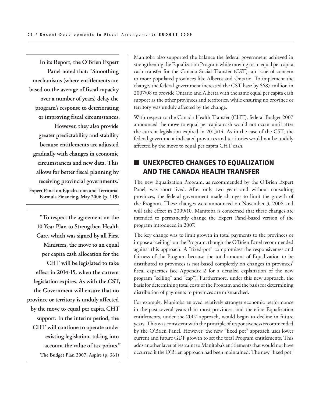**In its Report, the O'Brien Expert Panel noted that: "Smoothing mechanisms (where entitlements are based on the average of fiscal capacity over a number of years) delay the program's response to deteriorating or improving fiscal circumstances. However, they also provide greater predictability and stability because entitlements are adjusted gradually with changes in economic circumstances and new data. This allows for better fiscal planning by receiving provincial governments." Expert Panel on Equalization and Territorial Formula Financing, May 2006 (p. 119)**

**"To respect the agreement on the 10-Year Plan to Strengthen Health Care, which was signed by all First Ministers, the move to an equal per capita cash allocation for the CHT will be legislated to take effect in 2014-15, when the current legislation expires. As with the CST, the Government will ensure that no province or territory is unduly affected by the move to equal per capita CHT support. In the interim period, the CHT will continue to operate under existing legislation, taking into account the value of tax points." The Budget Plan 2007, Aspire (p. 361)**

Manitoba also supported the balance the federal government achieved in strengthening the Equalization Program while moving to an equal per capita cash transfer for the Canada Social Transfer (CST), an issue of concern to more populated provinces like Alberta and Ontario. To implement the change, the federal government increased the CST base by \$687 million in 2007/08 to provide Ontario and Alberta with the same equal per capita cash support as the other provinces and territories, while ensuring no province or territory was unduly affected by the change.

With respect to the Canada Health Transfer (CHT), federal Budget 2007 announced the move to equal per capita cash would not occur until after the current legislation expired in 2013/14. As in the case of the CST, the federal government indicated provinces and territories would not be unduly affected by the move to equal per capita CHT cash.

# **NO UNEXPECTED CHANGES TO EQUALIZATION** and the Canada Health Transfer

The new Equalization Program, as recommended by the O'Brien Expert Panel, was short lived. After only two years and without consulting provinces, the federal government made changes to limit the growth of the Program. These changes were announced on November 3, 2008 and will take effect in 2009/10. Manitoba is concerned that these changes are intended to permanently change the Expert Panel-based version of the program introduced in 2007.

The key change was to limit growth in total payments to the provinces or impose a "ceiling" on the Program, though the O'Brien Panel recommended against this approach. A "fixed-pot" compromises the responsiveness and fairness of the Program because the total amount of Equalization to be distributed to provinces is not based completely on changes in provinces' fiscal capacities (see Appendix 2 for a detailed explanation of the new program "ceiling" and "cap"). Furthermore, under this new approach, the basis for determining total costs of the Program and the basis for determining distribution of payments to provinces are mismatched.

For example, Manitoba enjoyed relatively stronger economic performance in the past several years than most provinces, and therefore Equalization entitlements, under the 2007 approach, would begin to decline in future years. This was consistent with the principle of responsiveness recommended by the O'Brien Panel. However, the new "fixed pot" approach uses lower current and future GDP growth to set the total Program entitlements. This adds another layer of restraint to Manitoba's entitlements that would not have occurred if the O'Brien approach had been maintained. The new "fixed pot"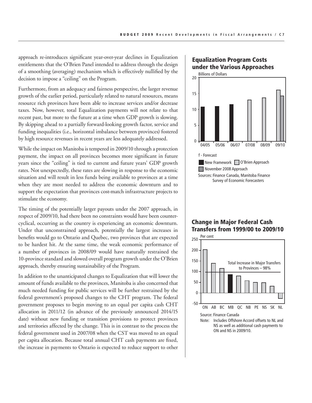approach re-introduces significant year-over-year declines in Equalization entitlements that the O'Brien Panel intended to address through the design of a smoothing (averaging) mechanism which is effectively nullified by the decision to impose a "ceiling" on the Program.

Furthermore, from an adequacy and fairness perspective, the larger revenue growth of the earlier period, particularly related to natural resources, means resource rich provinces have been able to increase services and/or decrease taxes. Now, however, total Equalization payments will not relate to that recent past, but more to the future at a time when GDP growth is slowing. By skipping ahead to a partially forward-looking growth factor, service and funding inequalities (i.e., horizontal imbalance between provinces) fostered by high resource revenues in recent years are less adequately addressed.

While the impact on Manitoba is tempered in 2009/10 through a protection payment, the impact on all provinces becomes more significant in future years since the "ceiling" is tied to current and future years' GDP growth rates. Not unexpectedly, these rates are slowing in response to the economic situation and will result in less funds being available to provinces at a time when they are most needed to address the economic downturn and to support the expectation that provinces cost-match infrastructure projects to stimulate the economy.

The timing of the potentially larger payouts under the 2007 approach, in respect of 2009/10, had there been no constraints would have been countercyclical, occurring as the country is experiencing an economic downturn. Under that unconstrained approach, potentially the largest increases in benefits would go to Ontario and Quebec, two provinces that are expected to be hardest hit. At the same time, the weak economic performance of a number of provinces in 2008/09 would have naturally restrained the 10-province standard and slowed overall program growth under the O'Brien approach, thereby ensuring sustainability of the Program.

In addition to the unanticipated changes to Equalization that will lower the amount of funds available to the provinces, Manitoba is also concerned that much needed funding for public services will be further restrained by the federal government's proposed changes to the CHT program. The federal government proposes to begin moving to an equal per capita cash CHT allocation in 2011/12 (in advance of the previously announced 2014/15 date) without new funding or transition provisions to protect provinces and territories affected by the change. This is in contrast to the process the federal government used in 2007/08 when the CST was moved to an equal per capita allocation. Because total annual CHT cash payments are fixed, the increase in payments to Ontario is expected to reduce support to other

## Equalization Program Costs under the Various Approaches



## Change in Major Federal Cash Transfers from 1999/00 to 2009/10

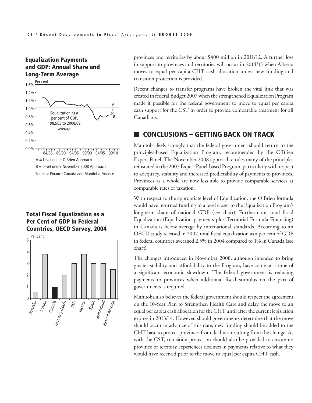## Equalization Payments and GDP: Annual Share and Long-Term Average



#### Total Fiscal Equalization as a  $Cont of CD$ Per Cent of GDP in Federal Countries, OECD Survey, 2004



provinces and territories by about \$400 million in 2011/12. A further loss in support to provinces and territories will occur in 2014/15 when Alberta moves to equal per capita CHT cash allocation unless new funding and transition protection is provided.

Recent changes to transfer programs have broken the vital link that was created in federal Budget 2007 when the strengthened Equalization Program made it possible for the federal government to move to equal per capita cash support for the CST in order to provide comparable treatment for all Canadians.

# **CONCLUSIONS – GETTING BACK ON TRACK**

Manitoba feels strongly that the federal government should return to the principles-based Equalization Program, recommended by the O'Brien Expert Panel. The November 2008 approach erodes many of the principles reinstated in the 2007 Expert Panel-based Program, particularly with respect to adequacy, stability and increased predictability of payments to provinces. Provinces as a whole are now less able to provide comparable services at comparable rates of taxation.

With respect to the appropriate level of Equalization, the O'Brien formula would have returned funding to a level closer to the Equalization Program's long-term share of national GDP (see chart). Furthermore, total fiscal Equalization (Equalization payments plus Territorial Formula Financing) in Canada is below average by international standards. According to an OECD study released in 2007, total fiscal equalization as a per cent of GDP in federal countries averaged 2.5% in 2004 compared to 1% in Canada (see chart).

The changes introduced in November 2008, although intended to bring greater stability and affordability to the Program, have come at a time of a significant economic slowdown. The federal government is reducing payments to provinces when additional fiscal stimulus on the part of governments is required.

Manitoba also believes the federal government should respect the agreement on the 10-Year Plan to Strengthen Health Care and delay the move to an equal per capita cash allocation for the CHT until after the current legislation expires in 2013/14. However, should governments determine that the move should occur in advance of this date, new funding should be added to the CHT base to protect provinces from declines resulting from the change. As with the CST, transition protection should also be provided to ensure no province or territory experiences declines in payments relative to what they would have received prior to the move to equal per capita CHT cash.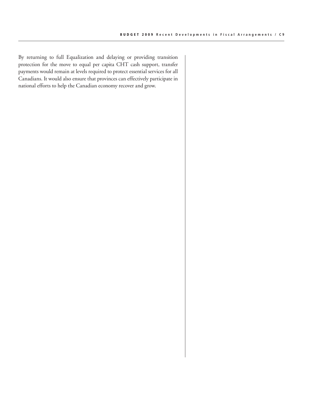By returning to full Equalization and delaying or providing transition protection for the move to equal per capita CHT cash support, transfer payments would remain at levels required to protect essential services for all Canadians. It would also ensure that provinces can effectively participate in national efforts to help the Canadian economy recover and grow.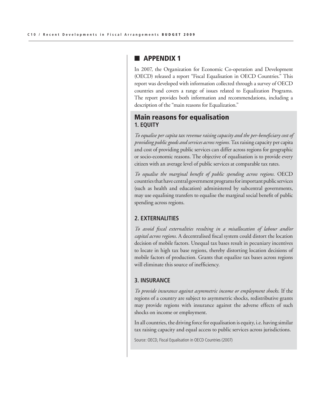## $\blacksquare$  APPENDIX 1

In 2007, the Organization for Economic Co-operation and Development (OECD) released a report "Fiscal Equalisation in OECD Countries." This report was developed with information collected through a survey of OECD countries and covers a range of issues related to Equalization Programs. The report provides both information and recommendations, including a description of the "main reasons for Equalization."

## Main reasons for equalisation **1. EQUITY**

*To equalise per capita tax revenue raising capacity and the per-beneficiary cost of providing public goods and services across regions.* Tax raising capacity per capita and cost of providing public services can differ across regions for geographic or socio-economic reasons. The objective of equalisation is to provide every citizen with an average level of public services at comparable tax rates.

*To equalise the marginal benefit of public spending across regions.* OECD countries that have central government programs for important public services (such as health and education) administered by subcentral governments, may use equalising transfers to equalise the marginal social benefit of public spending across regions.

## **2. EXTERNALITIES**

*To avoid fiscal externalities resulting in a misallocation of labour and/or capital across regions*. A decentralised fiscal system could distort the location decision of mobile factors. Unequal tax bases result in pecuniary incentives to locate in high tax base regions, thereby distorting location decisions of mobile factors of production. Grants that equalize tax bases across regions will eliminate this source of inefficiency.

#### **3. INSURANCE**

*To provide insurance against asymmetric income or employment shocks*. If the regions of a country are subject to asymmetric shocks, redistributive grants may provide regions with insurance against the adverse effects of such shocks on income or employment.

In all countries, the driving force for equalisation is equity, i.e. having similar tax raising capacity and equal access to public services across jurisdictions.

Source: OECD, Fiscal Equalisation in OECD Countries (2007)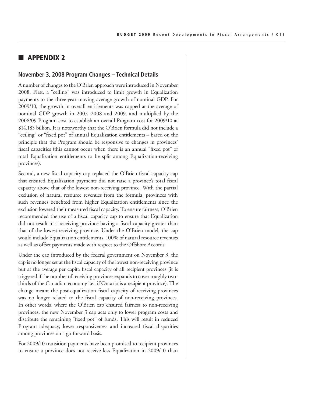## **n** Appendix 2

#### **November 3, 2008 Program Changes – Technical Details**

A number of changes to the O'Brien approach were introduced in November 2008. First, a "ceiling" was introduced to limit growth in Equalization payments to the three-year moving average growth of nominal GDP. For 2009/10, the growth in overall entitlements was capped at the average of nominal GDP growth in 2007, 2008 and 2009, and multiplied by the 2008/09 Program cost to establish an overall Program cost for 2009/10 at \$14.185 billion. It is noteworthy that the O'Brien formula did not include a "ceiling" or "fixed pot" of annual Equalization entitlements – based on the principle that the Program should be responsive to changes in provinces' fiscal capacities (this cannot occur when there is an annual "fixed pot" of total Equalization entitlements to be split among Equalization-receiving provinces).

Second, a new fiscal capacity cap replaced the O'Brien fiscal capacity cap that ensured Equalization payments did not raise a province's total fiscal capacity above that of the lowest non-receiving province. With the partial exclusion of natural resource revenues from the formula, provinces with such revenues benefited from higher Equalization entitlements since the exclusion lowered their measured fiscal capacity. To ensure fairness, O'Brien recommended the use of a fiscal capacity cap to ensure that Equalization did not result in a receiving province having a fiscal capacity greater than that of the lowest-receiving province. Under the O'Brien model, the cap would include Equalization entitlements, 100% of natural resource revenues as well as offset payments made with respect to the Offshore Accords.

Under the cap introduced by the federal government on November 3, the cap is no longer set at the fiscal capacity of the lowest non-receiving province but at the average per capita fiscal capacity of all recipient provinces (it is triggered if the number of receiving provinces expands to cover roughly twothirds of the Canadian economy i.e., if Ontario is a recipient province). The change meant the post-equalization fiscal capacity of receiving provinces was no longer related to the fiscal capacity of non-receiving provinces. In other words, where the O'Brien cap ensured fairness to non-receiving provinces, the new November 3 cap acts only to lower program costs and distribute the remaining "fixed pot" of funds. This will result in reduced Program adequacy, lower responsiveness and increased fiscal disparities among provinces on a go-forward basis.

For 2009/10 transition payments have been promised to recipient provinces to ensure a province does not receive less Equalization in 2009/10 than